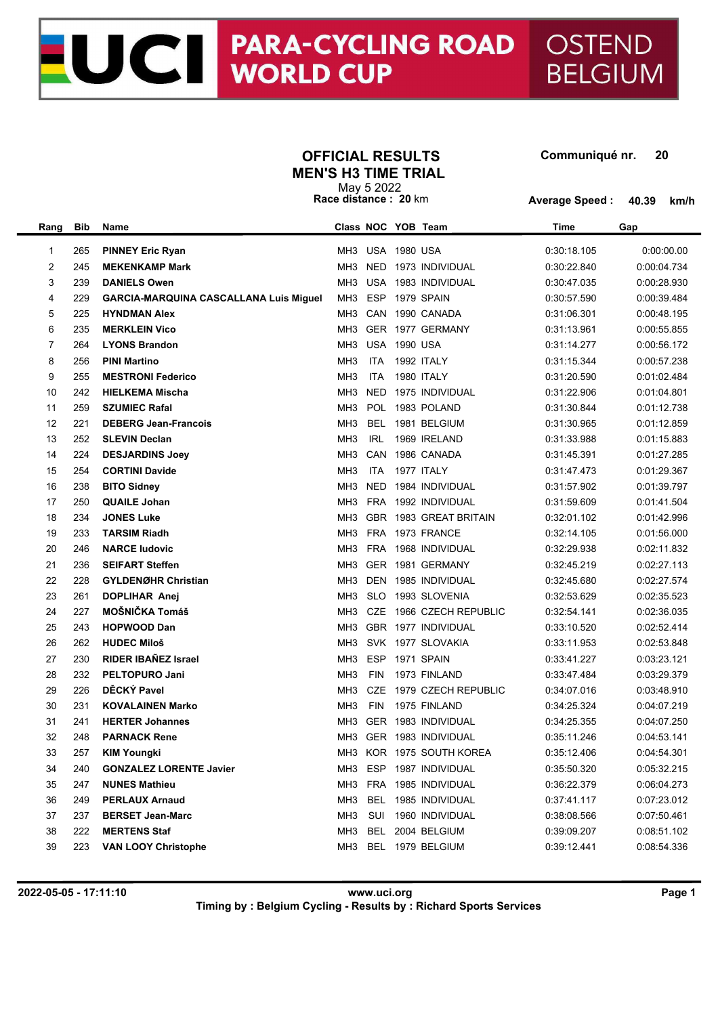## **OFFICIAL RESULTS Communiqué nr. MEN'S H3 TIME TRIAL**

UC | PARA-CYCLING ROAD | OSTEND<br>WORLD CUP | BELGIUM

**BELGIUM** 

| May 5 2022           |  |  |  |  |  |  |
|----------------------|--|--|--|--|--|--|
| Race distance: 20 km |  |  |  |  |  |  |

**Average Speed : 40.39 km/h**

| Rang           | Bib | Name                                          |                 |                     | Class NOC YOB Team       | Time        | Gap         |
|----------------|-----|-----------------------------------------------|-----------------|---------------------|--------------------------|-------------|-------------|
| 1              | 265 | <b>PINNEY Eric Ryan</b>                       |                 | MH3 USA 1980 USA    |                          | 0:30:18.105 | 0.00.00.00  |
| $\overline{2}$ | 245 | <b>MEKENKAMP Mark</b>                         | MH <sub>3</sub> | <b>NED</b>          | 1973 INDIVIDUAL          | 0:30:22.840 | 0:00:04.734 |
| 3              | 239 | <b>DANIELS Owen</b>                           | МНЗ             |                     | USA 1983 INDIVIDUAL      | 0:30:47.035 | 0:00:28.930 |
| 4              | 229 | <b>GARCIA-MARQUINA CASCALLANA Luis Miguel</b> | MH3             | <b>ESP</b>          | 1979 SPAIN               | 0:30:57.590 | 0:00:39.484 |
| 5              | 225 | <b>HYNDMAN Alex</b>                           | MH3             |                     | CAN 1990 CANADA          | 0:31:06.301 | 0:00:48.195 |
| 6              | 235 | <b>MERKLEIN Vico</b>                          | MH3             |                     | GER 1977 GERMANY         | 0:31:13.961 | 0:00:55.855 |
| 7              | 264 | <b>LYONS Brandon</b>                          | МНЗ             | <b>USA 1990 USA</b> |                          | 0:31:14.277 | 0:00:56.172 |
| 8              | 256 | <b>PINI Martino</b>                           | MH <sub>3</sub> | <b>ITA</b>          | 1992 ITALY               | 0:31:15.344 | 0:00:57.238 |
| 9              | 255 | <b>MESTRONI Federico</b>                      | MH <sub>3</sub> | <b>ITA</b>          | 1980 ITALY               | 0:31:20.590 | 0:01:02.484 |
| 10             | 242 | <b>HIELKEMA Mischa</b>                        | MH <sub>3</sub> | <b>NED</b>          | 1975 INDIVIDUAL          | 0:31:22.906 | 0:01:04.801 |
| 11             | 259 | <b>SZUMIEC Rafal</b>                          | MH <sub>3</sub> | POL                 | 1983 POLAND              | 0:31:30.844 | 0:01:12.738 |
| 12             | 221 | <b>DEBERG Jean-Francois</b>                   | MH <sub>3</sub> | <b>BEL</b>          | 1981 BELGIUM             | 0:31:30.965 | 0:01:12.859 |
| 13             | 252 | <b>SLEVIN Declan</b>                          | MH <sub>3</sub> | <b>IRL</b>          | 1969 IRELAND             | 0:31:33.988 | 0:01:15.883 |
| 14             | 224 | <b>DESJARDINS Joev</b>                        | MH <sub>3</sub> | CAN                 | 1986 CANADA              | 0:31:45.391 | 0:01:27.285 |
| 15             | 254 | <b>CORTINI Davide</b>                         | MH <sub>3</sub> | <b>ITA</b>          | 1977 ITALY               | 0.31.47.473 | 0:01:29.367 |
| 16             | 238 | <b>BITO Sidney</b>                            | MH <sub>3</sub> | <b>NED</b>          | 1984 INDIVIDUAL          | 0:31:57.902 | 0:01:39.797 |
| 17             | 250 | <b>QUAILE Johan</b>                           | MH3             |                     | FRA 1992 INDIVIDUAL      | 0:31:59.609 | 0:01:41.504 |
| 18             | 234 | <b>JONES Luke</b>                             | МНЗ             |                     | GBR 1983 GREAT BRITAIN   | 0:32:01.102 | 0:01:42.996 |
| 19             | 233 | <b>TARSIM Riadh</b>                           | МНЗ             |                     | FRA 1973 FRANCE          | 0:32:14.105 | 0:01:56.000 |
| 20             | 246 | <b>NARCE ludovic</b>                          | MH <sub>3</sub> |                     | FRA 1968 INDIVIDUAL      | 0:32:29.938 | 0:02:11.832 |
| 21             | 236 | <b>SEIFART Steffen</b>                        | МНЗ             |                     | GER 1981 GERMANY         | 0:32:45.219 | 0:02:27.113 |
| 22             | 228 | <b>GYLDENØHR Christian</b>                    | MH <sub>3</sub> |                     | DEN 1985 INDIVIDUAL      | 0:32:45.680 | 0:02:27.574 |
| 23             | 261 | <b>DOPLIHAR Anej</b>                          | MH3             | <b>SLO</b>          | 1993 SLOVENIA            | 0:32:53.629 | 0:02:35.523 |
| 24             | 227 | MOŠNIČKA Tomáš                                | МНЗ             | CZE                 | 1966 CZECH REPUBLIC      | 0:32:54.141 | 0:02:36.035 |
| 25             | 243 | <b>HOPWOOD Dan</b>                            | МНЗ             |                     | GBR 1977 INDIVIDUAL      | 0:33:10.520 | 0:02:52.414 |
| 26             | 262 | <b>HUDEC Miloš</b>                            | MH <sub>3</sub> |                     | SVK 1977 SLOVAKIA        | 0:33:11.953 | 0:02:53.848 |
| 27             | 230 | <b>RIDER IBAÑEZ Israel</b>                    | MH <sub>3</sub> | <b>ESP</b>          | 1971 SPAIN               | 0:33:41.227 | 0:03:23.121 |
| 28             | 232 | PELTOPURO Jani                                | MH <sub>3</sub> | <b>FIN</b>          | 1973 FINLAND             | 0.33.47.484 | 0:03:29.379 |
| 29             | 226 | DĚCKÝ Pavel                                   | MH <sub>3</sub> | <b>CZE</b>          | 1979 CZECH REPUBLIC      | 0:34:07.016 | 0:03:48.910 |
| 30             | 231 | <b>KOVALAINEN Marko</b>                       | MH <sub>3</sub> | <b>FIN</b>          | 1975 FINLAND             | 0:34:25.324 | 0:04:07.219 |
| 31             | 241 | <b>HERTER Johannes</b>                        | МНЗ             |                     | GER 1983 INDIVIDUAL      | 0:34:25.355 | 0:04:07.250 |
| 32             | 248 | <b>PARNACK Rene</b>                           | MH <sub>3</sub> |                     | GER 1983 INDIVIDUAL      | 0:35:11.246 | 0:04:53.141 |
| 33             | 257 | <b>KIM Youngki</b>                            |                 |                     | MH3 KOR 1975 SOUTH KOREA | 0:35:12.406 | 0:04:54.301 |
| 34             | 240 | <b>GONZALEZ LORENTE Javier</b>                |                 |                     | MH3 ESP 1987 INDIVIDUAL  | 0:35:50.320 | 0:05:32.215 |
| 35             | 247 | <b>NUNES Mathieu</b>                          | MH <sub>3</sub> |                     | FRA 1985 INDIVIDUAL      | 0:36:22.379 | 0:06:04.273 |
| 36             | 249 | <b>PERLAUX Arnaud</b>                         | MH <sub>3</sub> |                     | BEL 1985 INDIVIDUAL      | 0:37:41.117 | 0:07:23.012 |
| 37             | 237 | <b>BERSET Jean-Marc</b>                       | MH3             | SUI                 | 1960 INDIVIDUAL          | 0:38:08.566 | 0.07:50.461 |
| 38             | 222 | <b>MERTENS Staf</b>                           | MH <sub>3</sub> |                     | BEL 2004 BELGIUM         | 0:39:09.207 | 0:08:51.102 |
| 39             | 223 | <b>VAN LOOY Christophe</b>                    | МНЗ             |                     | BEL 1979 BELGIUM         | 0:39:12.441 | 0:08:54.336 |